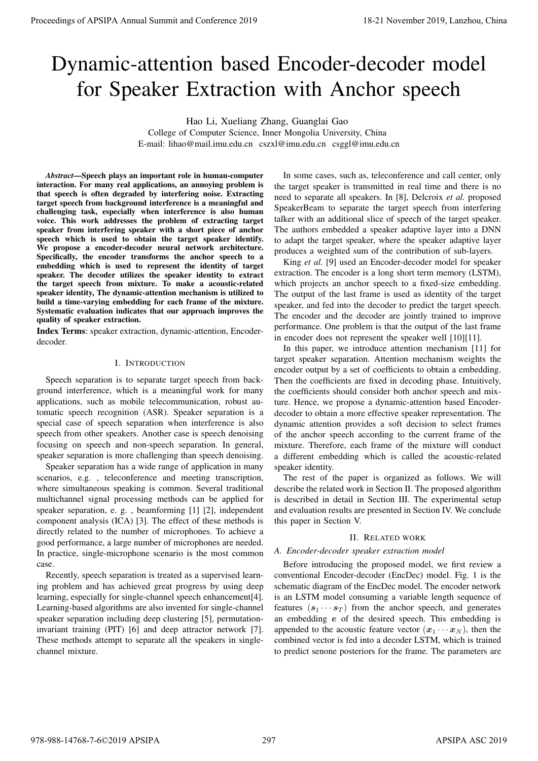# Dynamic-attention based Encoder-decoder model for Speaker Extraction with Anchor speech

Hao Li, Xueliang Zhang, Guanglai Gao

College of Computer Science, Inner Mongolia University, China E-mail: lihao@mail.imu.edu.cn cszxl@imu.edu.cn csggl@imu.edu.cn

*Abstract*—Speech plays an important role in human-computer interaction. For many real applications, an annoying problem is that speech is often degraded by interfering noise. Extracting target speech from background interference is a meaningful and challenging task, especially when interference is also human voice. This work addresses the problem of extracting target speaker from interfering speaker with a short piece of anchor speech which is used to obtain the target speaker identify. We propose a encoder-decoder neural network architecture. Specifically, the encoder transforms the anchor speech to a embedding which is used to represent the identity of target speaker. The decoder utilizes the speaker identity to extract the target speech from mixture. To make a acoustic-related speaker identity, The dynamic-attention mechanism is utilized to build a time-varying embedding for each frame of the mixture. Systematic evaluation indicates that our approach improves the quality of speaker extraction. **Procedure of APSIPA Annual Summit at Conference 2019**<br> **Dynamic-attention based Encoder-decoder models on the state and Conference 2019**<br> **Consert development and Conference 2019**<br> **Consert development and consert develo** 

Index Terms: speaker extraction, dynamic-attention, Encoderdecoder.

## I. INTRODUCTION

Speech separation is to separate target speech from background interference, which is a meaningful work for many applications, such as mobile telecommunication, robust automatic speech recognition (ASR). Speaker separation is a special case of speech separation when interference is also speech from other speakers. Another case is speech denoising focusing on speech and non-speech separation. In general, speaker separation is more challenging than speech denoising.

Speaker separation has a wide range of application in many scenarios, e.g. , teleconference and meeting transcription, where simultaneous speaking is common. Several traditional multichannel signal processing methods can be applied for speaker separation, e. g. , beamforming [1] [2], independent component analysis (ICA) [3]. The effect of these methods is directly related to the number of microphones. To achieve a good performance, a large number of microphones are needed. In practice, single-microphone scenario is the most common case.

Recently, speech separation is treated as a supervised learning problem and has achieved great progress by using deep learning, especially for single-channel speech enhancement[4]. Learning-based algorithms are also invented for single-channel speaker separation including deep clustering [5], permutationinvariant training (PIT) [6] and deep attractor network [7]. These methods attempt to separate all the speakers in singlechannel mixture.

In some cases, such as, teleconference and call center, only the target speaker is transmitted in real time and there is no need to separate all speakers. In [8], Delcroix *et al.* proposed SpeakerBeam to separate the target speech from interfering talker with an additional slice of speech of the target speaker. The authors embedded a speaker adaptive layer into a DNN to adapt the target speaker, where the speaker adaptive layer produces a weighted sum of the contribution of sub-layers.

King *et al.* [9] used an Encoder-decoder model for speaker extraction. The encoder is a long short term memory (LSTM), which projects an anchor speech to a fixed-size embedding. The output of the last frame is used as identity of the target speaker, and fed into the decoder to predict the target speech. The encoder and the decoder are jointly trained to improve performance. One problem is that the output of the last frame in encoder does not represent the speaker well [10][11].

In this paper, we introduce attention mechanism [11] for target speaker separation. Attention mechanism weights the encoder output by a set of coefficients to obtain a embedding. Then the coefficients are fixed in decoding phase. Intuitively, the coefficients should consider both anchor speech and mixture. Hence, we propose a dynamic-attention based Encoderdecoder to obtain a more effective speaker representation. The dynamic attention provides a soft decision to select frames of the anchor speech according to the current frame of the mixture. Therefore, each frame of the mixture will conduct a different embedding which is called the acoustic-related speaker identity.

The rest of the paper is organized as follows. We will describe the related work in Section II. The proposed algorithm is described in detail in Section III. The experimental setup and evaluation results are presented in Section IV. We conclude this paper in Section V.

## II. RELATED WORK

## *A. Encoder-decoder speaker extraction model*

Before introducing the proposed model, we first review a conventional Encoder-decoder (EncDec) model. Fig. 1 is the schematic diagram of the EncDec model. The encoder network is an LSTM model consuming a variable length sequence of features  $(s_1 \cdots s_T)$  from the anchor speech, and generates an embedding  $e$  of the desired speech. This embedding is appended to the acoustic feature vector  $(x_1 \cdots x_N)$ , then the combined vector is fed into a decoder LSTM, which is trained to predict senone posteriors for the frame. The parameters are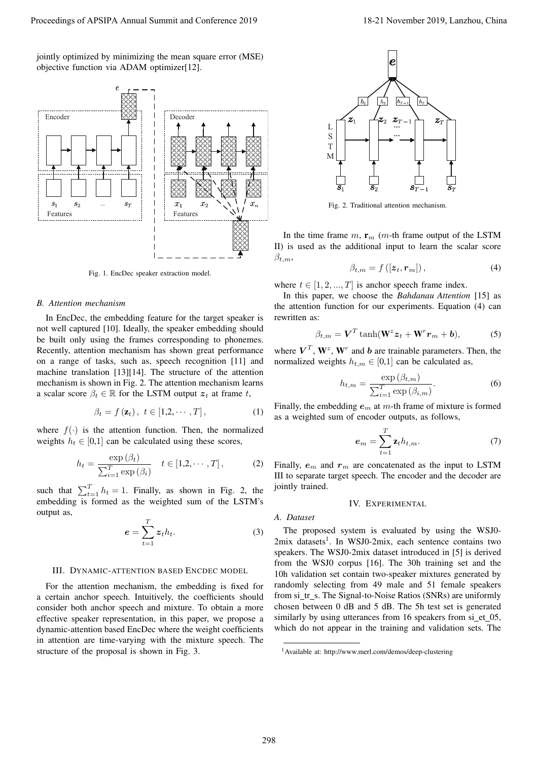jointly optimized by minimizing the mean square error (MSE) objective function via ADAM optimizer[12].



Fig. 1. EncDec speaker extraction model.

#### *B. Attention mechanism*

In EncDec, the embedding feature for the target speaker is not well captured [10]. Ideally, the speaker embedding should be built only using the frames corresponding to phonemes. Recently, attention mechanism has shown great performance on a range of tasks, such as, speech recognition [11] and machine translation [13][14]. The structure of the attention mechanism is shown in Fig. 2. The attention mechanism learns a scalar score  $\beta_t \in \mathbb{R}$  for the LSTM output  $z_t$  at frame t,

$$
\beta_t = f(\mathbf{z}_t), \ t \in [1, 2, \cdots, T], \tag{1}
$$

where  $f(.)$  is the attention function. Then, the normalized weights  $h_t \in [0,1]$  can be calculated using these scores,

$$
h_t = \frac{\exp\left(\beta_t\right)}{\sum_{i=1}^T \exp\left(\beta_i\right)} \quad t \in [1, 2, \cdots, T], \tag{2}
$$

such that  $\sum_{t=1}^{T} h_t = 1$ . Finally, as shown in Fig. 2, the embedding is formed as the weighted sum of the LSTM's output as,

$$
e = \sum_{t=1}^{T} z_t h_t.
$$
 (3)

## III. DYNAMIC-ATTENTION BASED ENCDEC MODEL

For the attention mechanism, the embedding is fixed for a certain anchor speech. Intuitively, the coefficients should consider both anchor speech and mixture. To obtain a more effective speaker representation, in this paper, we propose a dynamic-attention based EncDec where the weight coefficients in attention are time-varying with the mixture speech. The structure of the proposal is shown in Fig. 3.



Fig. 2. Traditional attention mechanism.

In the time frame  $m$ ,  $\mathbf{r}_m$  (*m*-th frame output of the LSTM II) is used as the additional input to learn the scalar score  $\beta_{t,m},$ 

$$
\beta_{t,m} = f\left(\left[z_t, \boldsymbol{r}_m\right]\right),\tag{4}
$$

where  $t \in [1, 2, ..., T]$  is anchor speech frame index.

In this paper, we choose the *Bahdanau Attention* [15] as the attention function for our experiments. Equation (4) can rewritten as:

$$
\beta_{t,m} = \mathbf{V}^T \tanh(\mathbf{W}^z \mathbf{z}_t + \mathbf{W}^r \mathbf{r}_m + \mathbf{b}),\tag{5}
$$

where  $V^T$ ,  $W^z$ ,  $W^r$  and b are trainable parameters. Then, the normalized weights  $h_{t,m} \in [0,1]$  can be calculated as,

$$
h_{t,m} = \frac{\exp\left(\beta_{t,m}\right)}{\sum_{i=1}^{T} \exp\left(\beta_{i,m}\right)}.\tag{6}
$$

Finally, the embedding  $e<sub>m</sub>$  at m-th frame of mixture is formed as a weighted sum of encoder outputs, as follows,

$$
\boldsymbol{e}_m = \sum_{t=1}^T \mathbf{z}_t h_{t,m}.\tag{7}
$$

Finally,  $e_m$  and  $r_m$  are concatenated as the input to LSTM III to separate target speech. The encoder and the decoder are jointly trained.

## IV. EXPERIMENTAL

#### *A. Dataset*

The proposed system is evaluated by using the WSJ0- 2mix datasets<sup>1</sup>. In WSJ0-2mix, each sentence contains two speakers. The WSJ0-2mix dataset introduced in [5] is derived from the WSJ0 corpus [16]. The 30h training set and the 10h validation set contain two-speaker mixtures generated by randomly selecting from 49 male and 51 female speakers from si\_tr\_s. The Signal-to-Noise Ratios (SNRs) are uniformly chosen between 0 dB and 5 dB. The 5h test set is generated similarly by using utterances from 16 speakers from si\_et\_05, which do not appear in the training and validation sets. The

<sup>1</sup>Available at: http://www.merl.com/demos/deep-clustering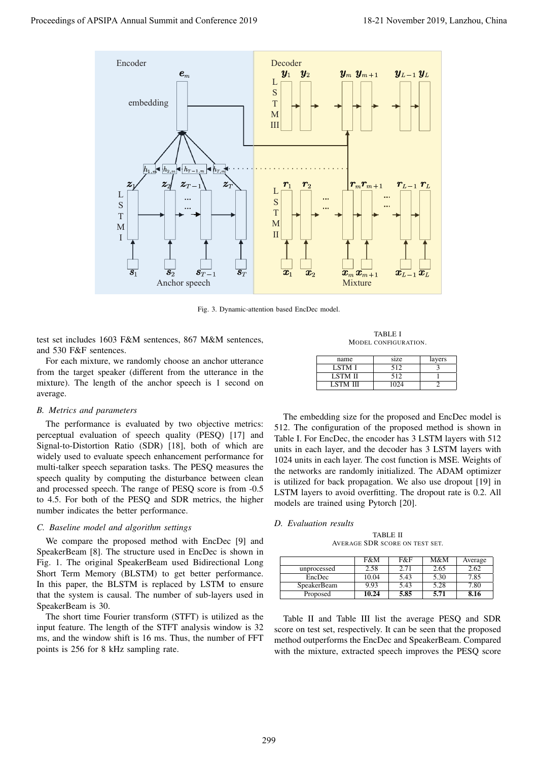

Fig. 3. Dynamic-attention based EncDec model.

test set includes 1603 F&M sentences, 867 M&M sentences, and 530 F&F sentences.

For each mixture, we randomly choose an anchor utterance from the target speaker (different from the utterance in the mixture). The length of the anchor speech is 1 second on average.

## *B. Metrics and parameters*

The performance is evaluated by two objective metrics: perceptual evaluation of speech quality (PESQ) [17] and Signal-to-Distortion Ratio (SDR) [18], both of which are widely used to evaluate speech enhancement performance for multi-talker speech separation tasks. The PESQ measures the speech quality by computing the disturbance between clean and processed speech. The range of PESQ score is from -0.5 to 4.5. For both of the PESQ and SDR metrics, the higher number indicates the better performance.

## *C. Baseline model and algorithm settings*

We compare the proposed method with EncDec [9] and SpeakerBeam [8]. The structure used in EncDec is shown in Fig. 1. The original SpeakerBeam used Bidirectional Long Short Term Memory (BLSTM) to get better performance. In this paper, the BLSTM is replaced by LSTM to ensure that the system is causal. The number of sub-layers used in SpeakerBeam is 30.

The short time Fourier transform (STFT) is utilized as the input feature. The length of the STFT analysis window is 32 ms, and the window shift is 16 ms. Thus, the number of FFT points is 256 for 8 kHz sampling rate.

TABLE I MODEL CONFIGURATION.

| name           | size | layers |
|----------------|------|--------|
| <b>LSTM I</b>  | 512  |        |
| <b>LSTM II</b> | 512  |        |
| LSTM III       | 1024 |        |

The embedding size for the proposed and EncDec model is 512. The configuration of the proposed method is shown in Table I. For EncDec, the encoder has 3 LSTM layers with 512 units in each layer, and the decoder has 3 LSTM layers with 1024 units in each layer. The cost function is MSE. Weights of the networks are randomly initialized. The ADAM optimizer is utilized for back propagation. We also use dropout [19] in LSTM layers to avoid overfitting. The dropout rate is 0.2. All models are trained using Pytorch [20].

## *D. Evaluation results*

TABLE II AVERAGE SDR SCORE ON TEST SET.

|                    | F&M   | F&F  | M&M  | Average |
|--------------------|-------|------|------|---------|
| unprocessed        | 2.58  | 2.71 | 2.65 | 2.62    |
| EncDec             | 10.04 | 5.43 | 5.30 | 7.85    |
| <b>SpeakerBeam</b> | 9.93  | 5.43 | 5.28 | 7.80    |
| Proposed           | 10.24 | 5.85 | 5.71 | 8.16    |

Table II and Table III list the average PESQ and SDR score on test set, respectively. It can be seen that the proposed method outperforms the EncDec and SpeakerBeam. Compared with the mixture, extracted speech improves the PESQ score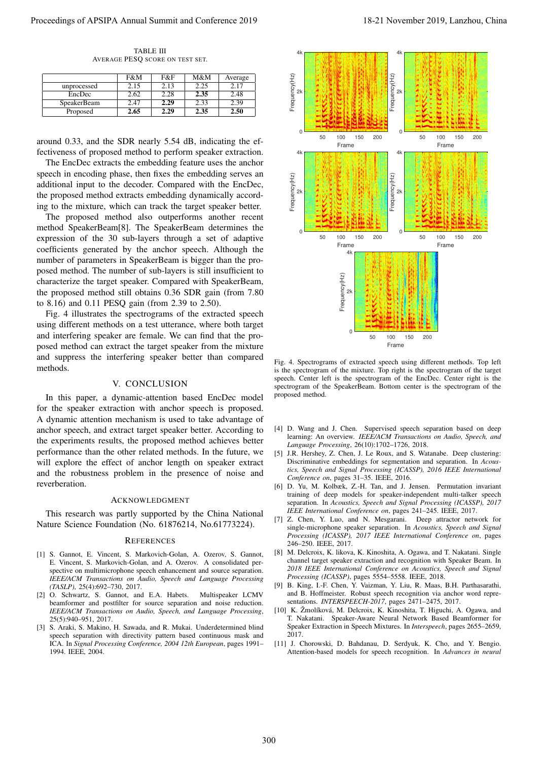TABLE III AVERAGE PESQ SCORE ON TEST SET.

|                    | F&M  | F&F  | M&M  | Average |
|--------------------|------|------|------|---------|
| unprocessed        | 2.15 | 2.13 | 2.25 | 2.17    |
| EncDec             | 2.62 | 2.28 | 2.35 | 2.48    |
| <b>SpeakerBeam</b> | 2.47 | 2.29 | 2.33 | 2.39    |
| Proposed           | 2.65 | 2.29 | 2.35 | 2.50    |

around 0.33, and the SDR nearly 5.54 dB, indicating the effectiveness of proposed method to perform speaker extraction.

The EncDec extracts the embedding feature uses the anchor speech in encoding phase, then fixes the embedding serves an additional input to the decoder. Compared with the EncDec, the proposed method extracts embedding dynamically according to the mixture, which can track the target speaker better.

The proposed method also outperforms another recent method SpeakerBeam[8]. The SpeakerBeam determines the expression of the 30 sub-layers through a set of adaptive coefficients generated by the anchor speech. Although the number of parameters in SpeakerBeam is bigger than the proposed method. The number of sub-layers is still insufficient to characterize the target speaker. Compared with SpeakerBeam, the proposed method still obtains 0.36 SDR gain (from 7.80 to 8.16) and 0.11 PESQ gain (from 2.39 to 2.50).

Fig. 4 illustrates the spectrograms of the extracted speech using different methods on a test utterance, where both target and interfering speaker are female. We can find that the proposed method can extract the target speaker from the mixture and suppress the interfering speaker better than compared methods.

## V. CONCLUSION

In this paper, a dynamic-attention based EncDec model for the speaker extraction with anchor speech is proposed. A dynamic attention mechanism is used to take advantage of anchor speech, and extract target speaker better. According to the experiments results, the proposed method achieves better performance than the other related methods. In the future, we will explore the effect of anchor length on speaker extract and the robustness problem in the presence of noise and reverberation.

## ACKNOWLEDGMENT

This research was partly supported by the China National Nature Science Foundation (No. 61876214, No.61773224).

## **REFERENCES**

- [1] S. Gannot, E. Vincent, S. Markovich-Golan, A. Ozerov, S. Gannot, E. Vincent, S. Markovich-Golan, and A. Ozerov. A consolidated perspective on multimicrophone speech enhancement and source separation. *IEEE/ACM Transactions on Audio, Speech and Language Processing (TASLP)*, 25(4):692–730, 2017.
- [2] O. Schwartz, S. Gannot, and E.A. Habets. Multispeaker LCMV beamformer and postfilter for source separation and noise reduction. *IEEE/ACM Transactions on Audio, Speech, and Language Processing*, 25(5):940–951, 2017.
- [3] S. Araki, S. Makino, H. Sawada, and R. Mukai. Underdetermined blind speech separation with directivity pattern based continuous mask and ICA. In *Signal Processing Conference, 2004 12th European*, pages 1991– 1994. IEEE, 2004.



Fig. 4. Spectrograms of extracted speech using different methods. Top left is the spectrogram of the mixture. Top right is the spectrogram of the target speech. Center left is the spectrogram of the EncDec. Center right is the spectrogram of the SpeakerBeam. Bottom center is the spectrogram of the proposed method.

- [4] D. Wang and J. Chen. Supervised speech separation based on deep learning: An overview. *IEEE/ACM Transactions on Audio, Speech, and Language Processing*, 26(10):1702–1726, 2018.
- [5] J.R. Hershey, Z. Chen, J. Le Roux, and S. Watanabe. Deep clustering: Discriminative embeddings for segmentation and separation. In *Acoustics, Speech and Signal Processing (ICASSP), 2016 IEEE International Conference on*, pages 31–35. IEEE, 2016.
- [6] D. Yu, M. Kolbæk, Z.-H. Tan, and J. Jensen. Permutation invariant training of deep models for speaker-independent multi-talker speech separation. In *Acoustics, Speech and Signal Processing (ICASSP), 2017 IEEE International Conference on*, pages 241–245. IEEE, 2017.
- [7] Z. Chen, Y. Luo, and N. Mesgarani. Deep attractor network for single-microphone speaker separation. In *Acoustics, Speech and Signal Processing (ICASSP), 2017 IEEE International Conference on*, pages 246–250. IEEE, 2017.
- [8] M. Delcroix, K. likova, K. Kinoshita, A. Ogawa, and T. Nakatani. Single channel target speaker extraction and recognition with Speaker Beam. In *2018 IEEE International Conference on Acoustics, Speech and Signal Processing (ICASSP)*, pages 5554–5558. IEEE, 2018.
- [9] B. King, I.-F. Chen, Y. Vaizman, Y. Liu, R. Maas, B.H. Parthasarathi, and B. Hoffmeister. Robust speech recognition via anchor word representations. *INTERSPEECH-2017*, pages 2471–2475, 2017.
- [10] K. Žmolíková, M. Delcroix, K. Kinoshita, T. Higuchi, A. Ogawa, and T. Nakatani. Speaker-Aware Neural Network Based Beamformer for Speaker Extraction in Speech Mixtures. In *Interspeech*, pages 2655–2659, 2017.
- [11] J. Chorowski, D. Bahdanau, D. Serdyuk, K. Cho, and Y. Bengio. Attention-based models for speech recognition. In *Advances in neural*